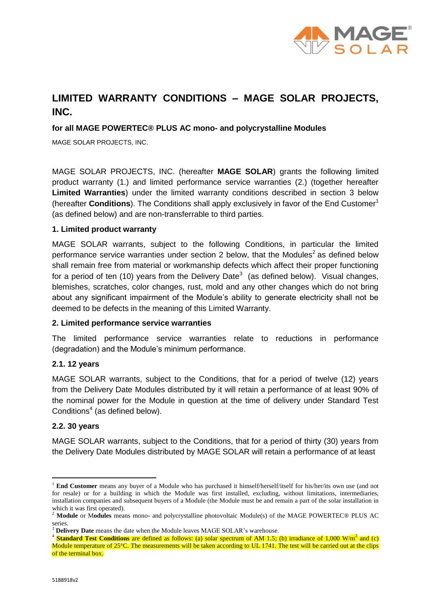

# **LIMITED WARRANTY CONDITIONS – MAGE SOLAR PROJECTS, INC.**

## **for all MAGE POWERTEC® PLUS AC mono- and polycrystalline Modules**

MAGE SOLAR PROJECTS, INC.

MAGE SOLAR PROJECTS, INC. (hereafter **MAGE SOLAR**) grants the following limited product warranty (1.) and limited performance service warranties (2.) (together hereafter **Limited Warranties**) under the limited warranty conditions described in section 3 below (hereafter **Conditions**). The Conditions shall apply exclusively in favor of the End Customer<sup>1</sup> (as defined below) and are non-transferrable to third parties.

#### **1. Limited product warranty**

MAGE SOLAR warrants, subject to the following Conditions, in particular the limited performance service warranties under section 2 below, that the Modules<sup>2</sup> as defined below shall remain free from material or workmanship defects which affect their proper functioning for a period of ten (10) years from the Delivery Date<sup>3</sup> (as defined below). Visual changes, blemishes, scratches, color changes, rust, mold and any other changes which do not bring about any significant impairment of the Module's ability to generate electricity shall not be deemed to be defects in the meaning of this Limited Warranty.

#### **2. Limited performance service warranties**

The limited performance service warranties relate to reductions in performance (degradation) and the Module's minimum performance.

#### **2.1. 12 years**

MAGE SOLAR warrants, subject to the Conditions, that for a period of twelve (12) years from the Delivery Date Modules distributed by it will retain a performance of at least 90% of the nominal power for the Module in question at the time of delivery under Standard Test Conditions $4$  (as defined below).

#### **2.2. 30 years**

MAGE SOLAR warrants, subject to the Conditions, that for a period of thirty (30) years from the Delivery Date Modules distributed by MAGE SOLAR will retain a performance of at least

-

<sup>1</sup> **End Customer** means any buyer of a Module who has purchased it himself/herself/itself for his/her/its own use (and not for resale) or for a building in which the Module was first installed, excluding, without limitations, intermediaries, installation companies and subsequent buyers of a Module (the Module must be and remain a part of the solar installation in which it was first operated).

<sup>&</sup>lt;sup>2</sup> **Module** or Modules means mono- and polycrystalline photovoltaic Module(s) of the MAGE POWERTEC® PLUS AC series.

<sup>&</sup>lt;sup>3</sup> **Delivery Date** means the date when the Module leaves MAGE SOLAR's warehouse.

**Standard Test Conditions** are defined as follows: (a) solar spectrum of AM 1.5; (b) irradiance of 1,000 W/m<sup>2</sup> and (c) Module temperature of 25<sup>°</sup>C. The measurements will be taken according to UL 1741. The test will be carried out at the clips of the terminal box.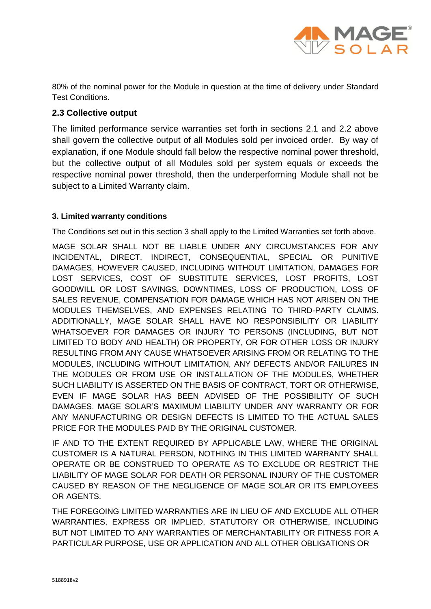

80% of the nominal power for the Module in question at the time of delivery under Standard Test Conditions.

# **2.3 Collective output**

The limited performance service warranties set forth in sections 2.1 and 2.2 above shall govern the collective output of all Modules sold per invoiced order. By way of explanation, if one Module should fall below the respective nominal power threshold, but the collective output of all Modules sold per system equals or exceeds the respective nominal power threshold, then the underperforming Module shall not be subject to a Limited Warranty claim.

# **3. Limited warranty conditions**

The Conditions set out in this section 3 shall apply to the Limited Warranties set forth above.

MAGE SOLAR SHALL NOT BE LIABLE UNDER ANY CIRCUMSTANCES FOR ANY INCIDENTAL, DIRECT, INDIRECT, CONSEQUENTIAL, SPECIAL OR PUNITIVE DAMAGES, HOWEVER CAUSED, INCLUDING WITHOUT LIMITATION, DAMAGES FOR LOST SERVICES, COST OF SUBSTITUTE SERVICES, LOST PROFITS, LOST GOODWILL OR LOST SAVINGS, DOWNTIMES, LOSS OF PRODUCTION, LOSS OF SALES REVENUE, COMPENSATION FOR DAMAGE WHICH HAS NOT ARISEN ON THE MODULES THEMSELVES, AND EXPENSES RELATING TO THIRD-PARTY CLAIMS. ADDITIONALLY, MAGE SOLAR SHALL HAVE NO RESPONSIBILITY OR LIABILITY WHATSOEVER FOR DAMAGES OR INJURY TO PERSONS (INCLUDING, BUT NOT LIMITED TO BODY AND HEALTH) OR PROPERTY, OR FOR OTHER LOSS OR INJURY RESULTING FROM ANY CAUSE WHATSOEVER ARISING FROM OR RELATING TO THE MODULES, INCLUDING WITHOUT LIMITATION, ANY DEFECTS AND/OR FAILURES IN THE MODULES OR FROM USE OR INSTALLATION OF THE MODULES, WHETHER SUCH LIABILITY IS ASSERTED ON THE BASIS OF CONTRACT, TORT OR OTHERWISE, EVEN IF MAGE SOLAR HAS BEEN ADVISED OF THE POSSIBILITY OF SUCH DAMAGES. MAGE SOLAR'S MAXIMUM LIABILITY UNDER ANY WARRANTY OR FOR ANY MANUFACTURING OR DESIGN DEFECTS IS LIMITED TO THE ACTUAL SALES PRICE FOR THE MODULES PAID BY THE ORIGINAL CUSTOMER.

IF AND TO THE EXTENT REQUIRED BY APPLICABLE LAW, WHERE THE ORIGINAL CUSTOMER IS A NATURAL PERSON, NOTHING IN THIS LIMITED WARRANTY SHALL OPERATE OR BE CONSTRUED TO OPERATE AS TO EXCLUDE OR RESTRICT THE LIABILITY OF MAGE SOLAR FOR DEATH OR PERSONAL INJURY OF THE CUSTOMER CAUSED BY REASON OF THE NEGLIGENCE OF MAGE SOLAR OR ITS EMPLOYEES OR AGENTS.

THE FOREGOING LIMITED WARRANTIES ARE IN LIEU OF AND EXCLUDE ALL OTHER WARRANTIES, EXPRESS OR IMPLIED, STATUTORY OR OTHERWISE, INCLUDING BUT NOT LIMITED TO ANY WARRANTIES OF MERCHANTABILITY OR FITNESS FOR A PARTICULAR PURPOSE, USE OR APPLICATION AND ALL OTHER OBLIGATIONS OR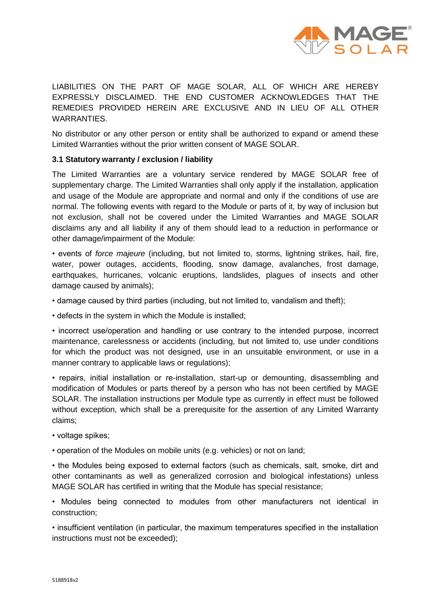

LIABILITIES ON THE PART OF MAGE SOLAR, ALL OF WHICH ARE HEREBY EXPRESSLY DISCLAIMED. THE END CUSTOMER ACKNOWLEDGES THAT THE REMEDIES PROVIDED HEREIN ARE EXCLUSIVE AND IN LIEU OF ALL OTHER WARRANTIES.

No distributor or any other person or entity shall be authorized to expand or amend these Limited Warranties without the prior written consent of MAGE SOLAR.

#### **3.1 Statutory warranty / exclusion / liability**

The Limited Warranties are a voluntary service rendered by MAGE SOLAR free of supplementary charge. The Limited Warranties shall only apply if the installation, application and usage of the Module are appropriate and normal and only if the conditions of use are normal. The following events with regard to the Module or parts of it, by way of inclusion but not exclusion, shall not be covered under the Limited Warranties and MAGE SOLAR disclaims any and all liability if any of them should lead to a reduction in performance or other damage/impairment of the Module:

• events of *force majeure* (including, but not limited to, storms, lightning strikes, hail, fire, water, power outages, accidents, flooding, snow damage, avalanches, frost damage, earthquakes, hurricanes, volcanic eruptions, landslides, plagues of insects and other damage caused by animals);

• damage caused by third parties (including, but not limited to, vandalism and theft);

• defects in the system in which the Module is installed;

• incorrect use/operation and handling or use contrary to the intended purpose, incorrect maintenance, carelessness or accidents (including, but not limited to, use under conditions for which the product was not designed, use in an unsuitable environment, or use in a manner contrary to applicable laws or regulations);

• repairs, initial installation or re-installation, start-up or demounting, disassembling and modification of Modules or parts thereof by a person who has not been certified by MAGE SOLAR. The installation instructions per Module type as currently in effect must be followed without exception, which shall be a prerequisite for the assertion of any Limited Warranty claims;

• voltage spikes;

• operation of the Modules on mobile units (e.g. vehicles) or not on land;

• the Modules being exposed to external factors (such as chemicals, salt, smoke, dirt and other contaminants as well as generalized corrosion and biological infestations) unless MAGE SOLAR has certified in writing that the Module has special resistance;

• Modules being connected to modules from other manufacturers not identical in construction;

• insufficient ventilation (in particular, the maximum temperatures specified in the installation instructions must not be exceeded);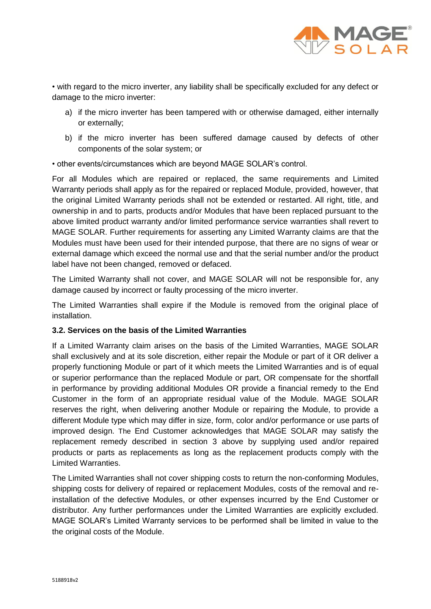

• with regard to the micro inverter, any liability shall be specifically excluded for any defect or damage to the micro inverter:

- a) if the micro inverter has been tampered with or otherwise damaged, either internally or externally;
- b) if the micro inverter has been suffered damage caused by defects of other components of the solar system; or

• other events/circumstances which are beyond MAGE SOLAR's control.

For all Modules which are repaired or replaced, the same requirements and Limited Warranty periods shall apply as for the repaired or replaced Module, provided, however, that the original Limited Warranty periods shall not be extended or restarted. All right, title, and ownership in and to parts, products and/or Modules that have been replaced pursuant to the above limited product warranty and/or limited performance service warranties shall revert to MAGE SOLAR. Further requirements for asserting any Limited Warranty claims are that the Modules must have been used for their intended purpose, that there are no signs of wear or external damage which exceed the normal use and that the serial number and/or the product label have not been changed, removed or defaced.

The Limited Warranty shall not cover, and MAGE SOLAR will not be responsible for, any damage caused by incorrect or faulty processing of the micro inverter.

The Limited Warranties shall expire if the Module is removed from the original place of installation.

## **3.2. Services on the basis of the Limited Warranties**

If a Limited Warranty claim arises on the basis of the Limited Warranties, MAGE SOLAR shall exclusively and at its sole discretion, either repair the Module or part of it OR deliver a properly functioning Module or part of it which meets the Limited Warranties and is of equal or superior performance than the replaced Module or part, OR compensate for the shortfall in performance by providing additional Modules OR provide a financial remedy to the End Customer in the form of an appropriate residual value of the Module. MAGE SOLAR reserves the right, when delivering another Module or repairing the Module, to provide a different Module type which may differ in size, form, color and/or performance or use parts of improved design. The End Customer acknowledges that MAGE SOLAR may satisfy the replacement remedy described in section 3 above by supplying used and/or repaired products or parts as replacements as long as the replacement products comply with the Limited Warranties.

The Limited Warranties shall not cover shipping costs to return the non-conforming Modules, shipping costs for delivery of repaired or replacement Modules, costs of the removal and reinstallation of the defective Modules, or other expenses incurred by the End Customer or distributor. Any further performances under the Limited Warranties are explicitly excluded. MAGE SOLAR's Limited Warranty services to be performed shall be limited in value to the the original costs of the Module.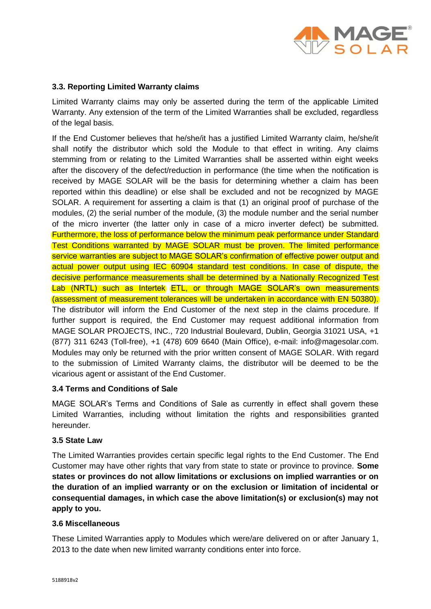

# **3.3. Reporting Limited Warranty claims**

Limited Warranty claims may only be asserted during the term of the applicable Limited Warranty. Any extension of the term of the Limited Warranties shall be excluded, regardless of the legal basis.

If the End Customer believes that he/she/it has a justified Limited Warranty claim, he/she/it shall notify the distributor which sold the Module to that effect in writing. Any claims stemming from or relating to the Limited Warranties shall be asserted within eight weeks after the discovery of the defect/reduction in performance (the time when the notification is received by MAGE SOLAR will be the basis for determining whether a claim has been reported within this deadline) or else shall be excluded and not be recognized by MAGE SOLAR. A requirement for asserting a claim is that (1) an original proof of purchase of the modules, (2) the serial number of the module, (3) the module number and the serial number of the micro inverter (the latter only in case of a micro inverter defect) be submitted. Furthermore, the loss of performance below the minimum peak performance under Standard Test Conditions warranted by MAGE SOLAR must be proven. The limited performance service warranties are subject to MAGE SOLAR's confirmation of effective power output and actual power output using IEC 60904 standard test conditions. In case of dispute, the decisive performance measurements shall be determined by a Nationally Recognized Test Lab (NRTL) such as Intertek ETL, or through MAGE SOLAR's own measurements (assessment of measurement tolerances will be undertaken in accordance with EN 50380). The distributor will inform the End Customer of the next step in the claims procedure. If further support is required, the End Customer may request additional information from MAGE SOLAR PROJECTS, INC., 720 Industrial Boulevard, Dublin, Georgia 31021 USA, +1 (877) 311 6243 (Toll-free), +1 (478) 609 6640 (Main Office), e-mail: info@magesolar.com. Modules may only be returned with the prior written consent of MAGE SOLAR. With regard to the submission of Limited Warranty claims, the distributor will be deemed to be the vicarious agent or assistant of the End Customer.

## **3.4 Terms and Conditions of Sale**

MAGE SOLAR's Terms and Conditions of Sale as currently in effect shall govern these Limited Warranties, including without limitation the rights and responsibilities granted hereunder.

## **3.5 State Law**

The Limited Warranties provides certain specific legal rights to the End Customer. The End Customer may have other rights that vary from state to state or province to province. **Some states or provinces do not allow limitations or exclusions on implied warranties or on the duration of an implied warranty or on the exclusion or limitation of incidental or consequential damages, in which case the above limitation(s) or exclusion(s) may not apply to you.**

#### **3.6 Miscellaneous**

These Limited Warranties apply to Modules which were/are delivered on or after January 1, 2013 to the date when new limited warranty conditions enter into force.